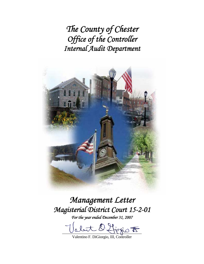*The County of Chester Office of the Controller Internal Audit Department* 



*Management Letter Magisterial District Court 15-2-01* 

*For the year ended December 31, 2007* 

  $\frac{u}{v}$ 

Valentino F. DiGiorgio, III, Controller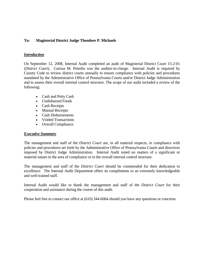## **To: Magisterial District Judge Theodore P. Michaels**

### *Introduction*

On September 12, 2008, Internal Audit completed an audit of Magisterial District Court 15-2-01 (*District Court*). Carissa M. Petrelia was the auditor-in-charge. Internal Audit is required by County Code to review district courts annually to ensure compliance with policies and procedures mandated by the Administrative Office of Pennsylvania Courts and/or District Judge Administration and to assess their overall internal control structure. The scope of our audit included a review of the following:

- Cash and Petty Cash
- Undisbursed Funds
- Cash Receipts
- Manual Receipts
- Cash Disbursements
- Voided Transactions
- Overall Compliance.

#### *Executive Summary*

The management and staff of the *District Court* are, in all material respects, in compliance with policies and procedures set forth by the Administrative Office of Pennsylvania Courts and directives imposed by District Judge Administration. Internal Audit noted no matters of a significant or material nature in the area of compliance or in the overall internal control structure.

The management and staff of the *District Court* should be commended for their dedication to excellence. The Internal Audit Department offers its compliments to an extremely knowledgeable and well-trained staff.

Internal Audit would like to thank the management and staff of the *District Court* for their cooperation and assistance during the course of this audit.

Please feel free to contact our office at (610) 344-6064 should you have any questions or concerns.